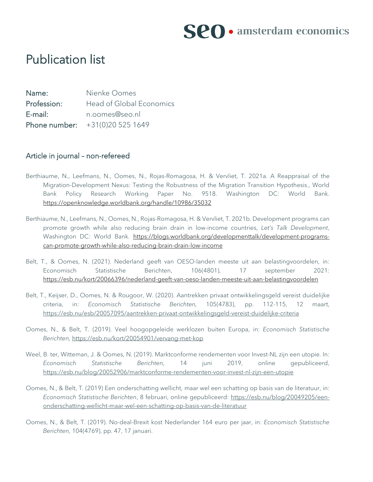

## Publication list

Name: Nienke Oomes Profession: Head of Global Economics E-mail: n.oomes@seo.nl Phone number: +31(0)20 525 1649

#### Article in journal – non-refereed

- Berthiaume, N., Leefmans, N., Oomes, N., Rojas-Romagosa, H. & Vervliet, T. 2021a. A Reappraisal of the Migration-Development Nexus: Testing the Robustness of the Migration Transition Hypothesis., World Bank Policy Research Working Paper No. 9518. Washington DC: World Bank. <https://openknowledge.worldbank.org/handle/10986/35032>
- Berthiaume, N., Leefmans, N., Oomes, N., Rojas-Romagosa, H. & Vervliet, T. 2021b. Development programs can promote growth while also reducing brain drain in low-income countries, *Let's Talk Development*, Washington DC: World Bank. [https://blogs.worldbank.org/developmenttalk/development-programs](https://blogs.worldbank.org/developmenttalk/development-programs-can-promote-growth-while-also-reducing-brain-drain-low-income)[can-promote-growth-while-also-reducing-brain-drain-low-income](https://blogs.worldbank.org/developmenttalk/development-programs-can-promote-growth-while-also-reducing-brain-drain-low-income)
- Belt, T., & Oomes, N. (2021). Nederland geeft van OESO-landen meeste uit aan belastingvoordelen, in: Economisch Statistische Berichten, 106(4801), 17 september 2021: <https://esb.nu/kort/20066396/nederland-geeft-van-oeso-landen-meeste-uit-aan-belastingvoordelen>
- Belt, T., Keijser, D., Oomes, N. & Rougoor, W. (2020). Aantrekken privaat ontwikkelingsgeld vereist duidelijke criteria, in: *Economisch Statistische Berichten,* 105(4783), pp. 112-115, 12 maart, <https://esb.nu/esb/20057095/aantrekken-privaat-ontwikkelingsgeld-vereist-duidelijke-criteria>
- Oomes, N., & Belt, T. (2019). Veel hoogopgeleide werklozen buiten Europa, in: *Economisch Statistische Berichten,* <https://esb.nu/kort/20054901/vervang-met-kop>
- Weel, B. ter, Witteman, J. & Oomes, N. (2019). Marktconforme rendementen voor Invest-NL zijn een utopie. In: *Economisch Statistische Berichten,* 14 juni 2019, online gepubliceerd, <https://esb.nu/blog/20052906/marktconforme-rendementen-voor-invest-nl-zijn-een-utopie>
- Oomes, N., & Belt, T. (2019) Een onderschatting wellicht, maar wel een schatting op basis van de literatuur, in: *Economisch Statistische Berichten*, 8 februari, online gepubliceerd: [https://esb.nu/blog/20049205/een](https://esb.nu/blog/20049205/een-onderschatting-wellicht-maar-wel-een-schatting-op-basis-van-de-literatuur)[onderschatting-wellicht-maar-wel-een-schatting-op-basis-van-de-literatuur](https://esb.nu/blog/20049205/een-onderschatting-wellicht-maar-wel-een-schatting-op-basis-van-de-literatuur)
- Oomes, N., & Belt, T. (2019). No-deal-Brexit kost Nederlander 164 euro per jaar, in: *Economisch Statistische Berichten,* 104(4769), pp. 47, 17 januari.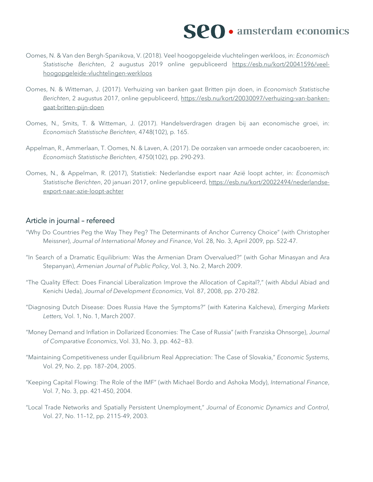# **SPO** · amsterdam economics

- Oomes, N. & Van den Bergh-Spanikova, V. (2018). Veel hoogopgeleide vluchtelingen werkloos, in: *Economisch Statistische Berichten*, 2 augustus 2019 online gepubliceerd [https://esb.nu/kort/20041596/veel](https://esb.nu/kort/20041596/veel-hoogopgeleide-vluchtelingen-werkloos)[hoogopgeleide-vluchtelingen-werkloos](https://esb.nu/kort/20041596/veel-hoogopgeleide-vluchtelingen-werkloos)
- Oomes, N. & Witteman, J. (2017). Verhuizing van banken gaat Britten pijn doen, in *Economisch Statistische Berichten*, 2 augustus 2017, online gepubliceerd, [https://esb.nu/kort/20030097/verhuizing-van-banken](https://esb.nu/kort/20030097/verhuizing-van-banken-gaat-britten-pijn-doen)[gaat-britten-pijn-doen](https://esb.nu/kort/20030097/verhuizing-van-banken-gaat-britten-pijn-doen)
- Oomes, N., Smits, T. & Witteman, J. (2017). Handelsverdragen dragen bij aan economische groei, in: *Economisch Statistische Berichten,* 4748(102), p. 165.
- Appelman, R., Ammerlaan, T. Oomes, N. & Laven, A. (2017). De oorzaken van armoede onder cacaoboeren, in: *Economisch Statistische Berichten,* 4750(102), pp. 290-293.
- Oomes, N., & Appelman, R. (2017), Statistiek: Nederlandse export naar Azië loopt achter, in: *Economisch Statistische Berichten*, 20 januari 2017, online gepubliceerd, [https://esb.nu/kort/20022494/nederlandse](https://esb.nu/kort/20022494/nederlandse-export-naar-azie-loopt-achter)[export-naar-azie-loopt-achter](https://esb.nu/kort/20022494/nederlandse-export-naar-azie-loopt-achter)

### Article in journal – refereed

- "Why Do Countries Peg the Way They Peg? The Determinants of Anchor Currency Choice" (with Christopher Meissner), *Journal of International Money and Finance*, Vol. 28, No. 3, April 2009, pp. 522-47.
- "In Search of a Dramatic Equilibrium: Was the Armenian Dram Overvalued?" (with Gohar Minasyan and Ara Stepanyan), *Armenian Journal of Public Policy*, Vol. 3, No. 2, March 2009.
- "The Quality Effect: Does Financial Liberalization Improve the Allocation of Capital?," (with Abdul Abiad and Kenichi Ueda), *Journal of Development Economics*, Vol. 87, 2008, pp. 270-282.
- "Diagnosing Dutch Disease: Does Russia Have the Symptoms?" (with Katerina Kalcheva), *Emerging Markets Letters,* Vol. 1, No. 1, March 2007.
- "Money Demand and Inflation in Dollarized Economies: The Case of Russia" (with Franziska Ohnsorge), *Journal of Comparative Economics*, Vol. 33, No. 3, pp. 462−83.
- "Maintaining Competitiveness under Equilibrium Real Appreciation: The Case of Slovakia," *Economic Systems*, Vol. 29, No. 2, pp. 187–204, 2005.
- "Keeping Capital Flowing: The Role of the IMF" (with Michael Bordo and Ashoka Mody), *International Finance*, Vol. 7, No. 3, pp. 421-450, 2004.
- "Local Trade Networks and Spatially Persistent Unemployment," *Journal of Economic Dynamics and Control*, Vol. 27, No. 11–12, pp. 2115-49, 2003.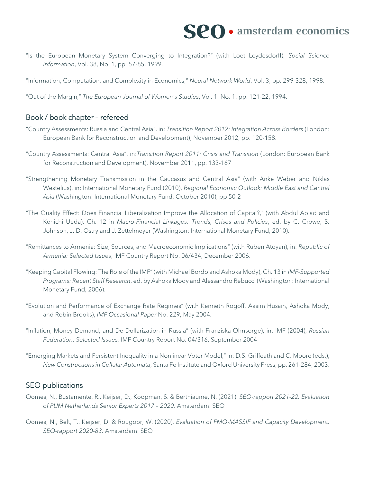

"Is the European Monetary System Converging to Integration?" (with Loet Leydesdorff), *Social Science Information*, Vol. 38, No. 1, pp. 57-85, 1999.

"Information, Computation, and Complexity in Economics," *Neural Network World*, Vol. 3, pp. 299-328, 1998.

"Out of the Margin," *The European Journal of Women's Studies*, Vol. 1, No. 1, pp. 121-22, 1994.

#### Book / book chapter – refereed

- "Country Assessments: Russia and Central Asia", in: *Transition Report 2012: Integration Across Borders* (London: European Bank for Reconstruction and Development), November 2012, pp. 120-158.
- "Country Assessments: Central Asia", in:*Transition Report 2011: Crisis and Transition* (London: European Bank for Reconstruction and Development), November 2011, pp. 133-167
- "Strengthening Monetary Transmission in the Caucasus and Central Asia" (with Anke Weber and Niklas Westelius), in: International Monetary Fund (2010), *Regional Economic Outlook: Middle East and Central Asia* (Washington: International Monetary Fund, October 2010), pp 50-2
- "The Quality Effect: Does Financial Liberalization Improve the Allocation of Capital?," (with Abdul Abiad and Kenichi Ueda), Ch. 12 in *Macro-Financial Linkages: Trends, Crises and Policies*, ed. by C. Crowe, S. Johnson, J. D. Ostry and J. Zettelmeyer (Washington: International Monetary Fund, 2010).
- "Remittances to Armenia: Size, Sources, and Macroeconomic Implications" (with Ruben Atoyan), in: *Republic of Armenia: Selected Issues*, IMF Country Report No. 06/434, December 2006.
- "Keeping Capital Flowing: The Role of the IMF" (with Michael Bordo and Ashoka Mody), Ch. 13 in *IMF-Supported Programs: Recent Staff Research*, ed. by Ashoka Mody and Alessandro Rebucci (Washington: International Monetary Fund, 2006).
- "Evolution and Performance of Exchange Rate Regimes" (with Kenneth Rogoff, Aasim Husain, Ashoka Mody, and Robin Brooks), *IMF Occasional Paper* No. 229, May 2004.
- "Inflation, Money Demand, and De-Dollarization in Russia" (with Franziska Ohnsorge), in: IMF (2004), *Russian Federation: Selected Issues,* IMF Country Report No. 04/316, September 2004
- "Emerging Markets and Persistent Inequality in a Nonlinear Voter Model," in: D.S. Griffeath and C. Moore (eds.), *New Constructions in Cellular Automata*, Santa Fe Institute and Oxford University Press, pp. 261-284, 2003.

#### SEO publications

- Oomes, N., Bustamente, R., Keijser, D., Koopman, S. & Berthiaume, N. (2021). *SEO-rapport 2021-22. Evaluation of PUM Netherlands Senior Experts 2017 – 2020*. Amsterdam: SEO
- Oomes, N., Belt, T., Keijser, D. & Rougoor, W. (2020). *Evaluation of FMO-MASSIF and Capacity Development. SEO-rapport 2020-83.* Amsterdam: SEO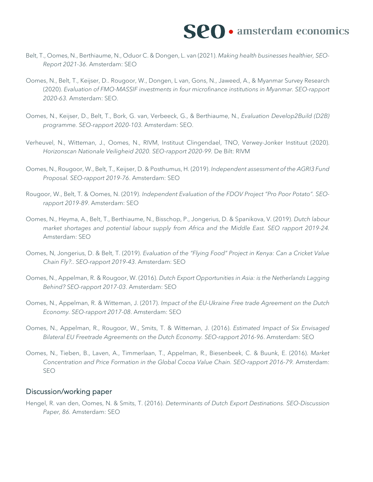- Belt, T., Oomes, N., Berthiaume, N., Oduor C. & Dongen, L. van (2021). *Making health businesses healthier, SEO-Report 2021-36*. Amsterdam: SEO
- Oomes, N., Belt, T., Keijser, D.. Rougoor, W., Dongen, L van, Gons, N., Jaweed, A., & Myanmar Survey Research (2020). *Evaluation of FMO-MASSIF investments in four microfinance institutions in Myanmar. SEO-rapport 2020-63.* Amsterdam: SEO.
- Oomes, N., Keijser, D., Belt, T., Bork, G. van, Verbeeck, G., & Berthiaume, N., *Evaluation Develop2Build (D2B) programme. SEO-rapport 2020-103.* Amsterdam: SEO.
- Verheuvel, N., Witteman, J., Oomes, N., RIVM, Instituut Clingendael, TNO, Verwey-Jonker Instituut (2020). *Horizonscan Nationale Veiligheid 2020. SEO-rapport 2020-99.* De Bilt: RIVM
- Oomes, N., Rougoor, W., Belt, T., Keijser, D. & Posthumus, H. (2019). *Independent assessment of the AGRI3 Fund Proposal. SEO-rapport 2019-76*. Amsterdam: SEO
- Rougoor, W., Belt, T. & Oomes, N. (2019). *Independent Evaluation of the FDOV Project "Pro Poor Potato". SEOrapport 2019-89*. Amsterdam: SEO
- Oomes, N., Heyma, A., Belt, T., Berthiaume, N., Bisschop, P., Jongerius, D. & Spanikova, V. (2019). *Dutch labour market shortages and potential labour supply from Africa and the Middle East. SEO rapport 2019-24.*  Amsterdam: SEO
- Oomes, N, Jongerius, D. & Belt, T. (2019). *Evaluation of the "Flying Food" Project in Kenya: Can a Cricket Value Chain Fly?.. SEO-rapport 2019-43*. Amsterdam: SEO
- Oomes, N., Appelman, R. & Rougoor, W. (2016). *Dutch Export Opportunities in Asia: is the Netherlands Lagging Behind? SEO-rapport 2017-03*. Amsterdam: SEO
- Oomes, N., Appelman, R. & Witteman, J. (2017). *Impact of the EU-Ukraine Free trade Agreement on the Dutch Economy. SEO-rapport 2017-08*. Amsterdam: SEO
- Oomes, N., Appelman, R., Rougoor, W., Smits, T. & Witteman, J. (2016). *Estimated Impact of Six Envisaged Bilateral EU Freetrade Agreements on the Dutch Economy. SEO-rapport 2016-96*. Amsterdam: SEO
- Oomes, N., Tieben, B., Laven, A., Timmerlaan, T., Appelman, R., Biesenbeek, C. & Buunk, E. (2016). *Market Concentration and Price Formation in the Global Cocoa Value Chain. SEO-rapport 2016-79.* Amsterdam: SEO

#### Discussion/working paper

Hengel, R. van den, Oomes, N. & Smits, T. (2016). *Determinants of Dutch Export Destinations. SEO-Discussion Paper, 86.* Amsterdam: SEO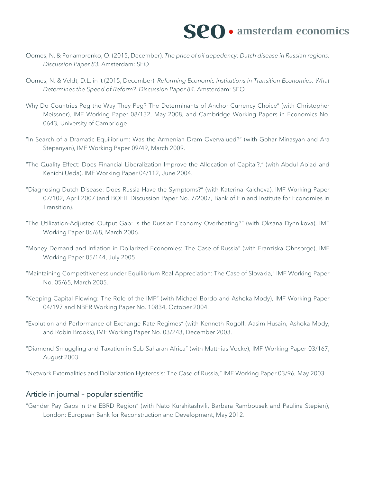- Oomes, N. & Ponamorenko, O. (2015, December). *The price of oil depedency: Dutch disease in Russian regions. Discussion Paper 83.* Amsterdam: SEO
- Oomes, N. & Veldt, D.L. in 't (2015, December). *Reforming Economic Institutions in Transition Economies: What Determines the Speed of Reform?. Discussion Paper 84.* Amsterdam: SEO
- Why Do Countries Peg the Way They Peg? The Determinants of Anchor Currency Choice" (with Christopher Meissner), IMF Working Paper 08/132, May 2008, and Cambridge Working Papers in Economics No. 0643, University of Cambridge.
- "In Search of a Dramatic Equilibrium: Was the Armenian Dram Overvalued?" (with Gohar Minasyan and Ara Stepanyan), IMF Working Paper 09/49, March 2009.
- "The Quality Effect: Does Financial Liberalization Improve the Allocation of Capital?," (with Abdul Abiad and Kenichi Ueda), IMF Working Paper 04/112, June 2004.
- "Diagnosing Dutch Disease: Does Russia Have the Symptoms?" (with Katerina Kalcheva), IMF Working Paper 07/102, April 2007 (and BOFIT Discussion Paper No. 7/2007, Bank of Finland Institute for Economies in Transition).
- "The Utilization-Adjusted Output Gap: Is the Russian Economy Overheating?" (with Oksana Dynnikova), IMF Working Paper 06/68, March 2006.
- "Money Demand and Inflation in Dollarized Economies: The Case of Russia" (with Franziska Ohnsorge), IMF Working Paper 05/144, July 2005.
- "Maintaining Competitiveness under Equilibrium Real Appreciation: The Case of Slovakia," IMF Working Paper No. 05/65, March 2005.
- "Keeping Capital Flowing: The Role of the IMF" (with Michael Bordo and Ashoka Mody), IMF Working Paper 04/197 and NBER Working Paper No. 10834, October 2004.
- "Evolution and Performance of Exchange Rate Regimes" (with Kenneth Rogoff, Aasim Husain, Ashoka Mody, and Robin Brooks), IMF Working Paper No. 03/243, December 2003.
- "Diamond Smuggling and Taxation in Sub-Saharan Africa" (with Matthias Vocke), IMF Working Paper 03/167, August 2003.

"Network Externalities and Dollarization Hysteresis: The Case of Russia," IMF Working Paper 03/96, May 2003.

#### Article in journal – popular scientific

"Gender Pay Gaps in the EBRD Region" (with Nato Kurshitashvili, Barbara Rambousek and Paulina Stepien), London: European Bank for Reconstruction and Development, May 2012.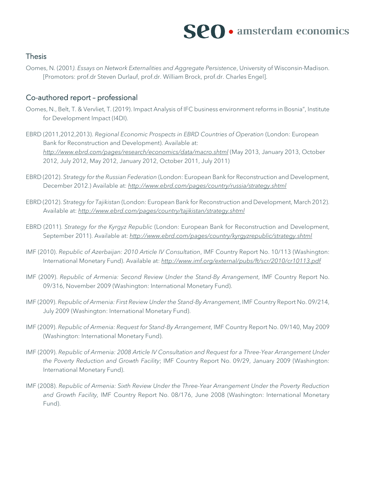# $\mathbf{SPO}\cdot$  amsterdam economics

### **Thesis**

Oomes, N. (2001*). Essays on Network Externalities and Aggregate Persistence*, University of Wisconsin-Madison. [Promotors: prof.dr Steven Durlauf, prof.dr. William Brock, prof.dr. Charles Engel].

### Co-authored report – professional

- Oomes, N., Belt, T. & Vervliet, T. (2019). Impact Analysis of IFC business environment reforms in Bosnia", Institute for Development Impact (I4DI).
- EBRD (2011,2012,2013). *Regional Economic Prospects in EBRD Countries of Operation* (London: European Bank for Reconstruction and Development). Available at: *<http://www.ebrd.com/pages/research/economics/data/macro.shtml>* (May 2013, January 2013, October 2012, July 2012, May 2012, January 2012, October 2011, July 2011)
- EBRD (2012). *Strategy for the Russian Federation* (London: European Bank for Reconstruction and Development, December 2012.) Available at: *<http://www.ebrd.com/pages/country/russia/strategy.shtml>*
- EBRD (2012). *Strategy for Tajikistan* (London: European Bank for Reconstruction and Development, March 2012). Available at: *<http://www.ebrd.com/pages/country/tajikistan/strategy.shtml>*
- EBRD (2011). *Strategy for the Kyrgyz Republic* (London: European Bank for Reconstruction and Development, September 2011). Available at: *<http://www.ebrd.com/pages/country/kyrgyzrepublic/strategy.shtml>*
- IMF (2010). *Republic of Azerbaijan: 2010 Article IV Consultation*, IMF Country Report No. 10/113 (Washington: International Monetary Fund). Available at: *<http://www.imf.org/external/pubs/ft/scr/2010/cr10113.pdf>*
- IMF (2009). *Republic of Armenia: Second Review Under the Stand-By Arrangement*, IMF Country Report No. 09/316, November 2009 (Washington: International Monetary Fund).
- IMF (2009). *Republic of Armenia: First Review Under the Stand-By Arrangement*, IMF Country Report No. 09/214, July 2009 (Washington: International Monetary Fund).
- IMF (2009). *Republic of Armenia: Request for Stand-By Arrangement*, IMF Country Report No. 09/140, May 2009 (Washington: International Monetary Fund).
- IMF (2009). *Republic of Armenia: 2008 Article IV Consultation and Request for a Three-Year Arrangement Under the Poverty Reduction and Growth Facility*; IMF Country Report No. 09/29, January 2009 (Washington: International Monetary Fund).
- IMF (2008). *Republic of Armenia: Sixth Review Under the Three-Year Arrangement Under the Poverty Reduction and Growth Facility,* IMF Country Report No. 08/176, June 2008 (Washington: International Monetary Fund).